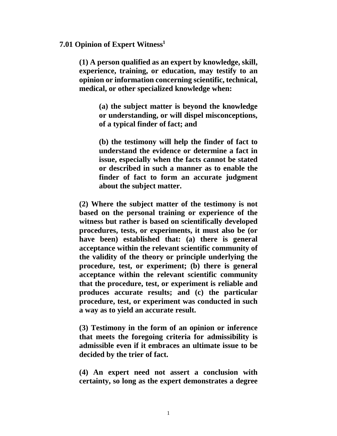## **7.01 Opinion of Expert Witness<sup>1</sup>**

**(1) A person qualified as an expert by knowledge, skill, experience, training, or education, may testify to an opinion or information concerning scientific, technical, medical, or other specialized knowledge when:** 

> **(a) the subject matter is beyond the knowledge or understanding, or will dispel misconceptions, of a typical finder of fact; and**

> **(b) the testimony will help the finder of fact to understand the evidence or determine a fact in issue, especially when the facts cannot be stated or described in such a manner as to enable the finder of fact to form an accurate judgment about the subject matter.**

**(2) Where the subject matter of the testimony is not based on the personal training or experience of the witness but rather is based on scientifically developed procedures, tests, or experiments, it must also be (or have been) established that: (a) there is general acceptance within the relevant scientific community of the validity of the theory or principle underlying the procedure, test, or experiment; (b) there is general acceptance within the relevant scientific community that the procedure, test, or experiment is reliable and produces accurate results; and (c) the particular procedure, test, or experiment was conducted in such a way as to yield an accurate result.** 

**(3) Testimony in the form of an opinion or inference that meets the foregoing criteria for admissibility is admissible even if it embraces an ultimate issue to be decided by the trier of fact.** 

**(4) An expert need not assert a conclusion with certainty, so long as the expert demonstrates a degree**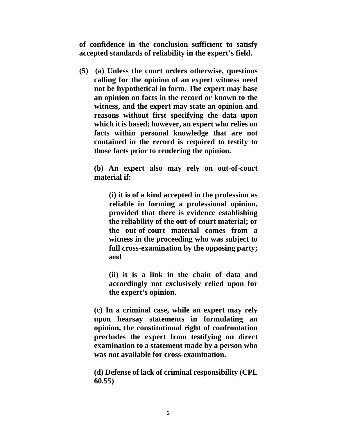**of confidence in the conclusion sufficient to satisfy accepted standards of reliability in the expert's field.** 

**(5) (a) Unless the court orders otherwise, questions calling for the opinion of an expert witness need not be hypothetical in form. The expert may base an opinion on facts in the record or known to the witness, and the expert may state an opinion and reasons without first specifying the data upon which it is based; however, an expert who relies on facts within personal knowledge that are not contained in the record is required to testify to those facts prior to rendering the opinion.** 

**(b) An expert also may rely on out-of-court material if:** 

**(i) it is of a kind accepted in the profession as reliable in forming a professional opinion, provided that there is evidence establishing the reliability of the out-of-court material; or the out-of-court material comes from a witness in the proceeding who was subject to full cross-examination by the opposing party; and** 

**(ii) it is a link in the chain of data and accordingly not exclusively relied upon for the expert's opinion.** 

**(c) In a criminal case, while an expert may rely upon hearsay statements in formulating an opinion, the constitutional right of confrontation precludes the expert from testifying on direct examination to a statement made by a person who was not available for cross-examination.** 

**(d) Defense of lack of criminal responsibility (CPL 60.55)**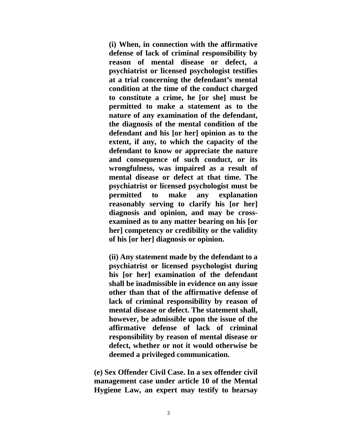**(i) When, in connection with the affirmative defense of lack of criminal responsibility by reason of mental disease or defect, a psychiatrist or licensed psychologist testifies at a trial concerning the defendant's mental condition at the time of the conduct charged to constitute a crime, he [or she] must be permitted to make a statement as to the nature of any examination of the defendant, the diagnosis of the mental condition of the defendant and his [or her] opinion as to the extent, if any, to which the capacity of the defendant to know or appreciate the nature and consequence of such conduct, or its wrongfulness, was impaired as a result of mental disease or defect at that time. The psychiatrist or licensed psychologist must be permitted to make any explanation reasonably serving to clarify his [or her] diagnosis and opinion, and may be crossexamined as to any matter bearing on his [or her] competency or credibility or the validity of his [or her] diagnosis or opinion.** 

**(ii) Any statement made by the defendant to a psychiatrist or licensed psychologist during his [or her] examination of the defendant shall be inadmissible in evidence on any issue other than that of the affirmative defense of lack of criminal responsibility by reason of mental disease or defect. The statement shall, however, be admissible upon the issue of the affirmative defense of lack of criminal responsibility by reason of mental disease or defect, whether or not it would otherwise be deemed a privileged communication.** 

**(e) Sex Offender Civil Case. In a sex offender civil management case under article 10 of the Mental Hygiene Law, an expert may testify to hearsay**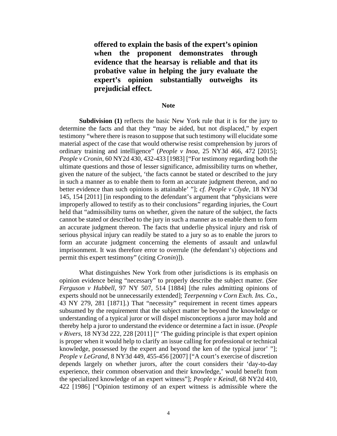**offered to explain the basis of the expert's opinion when the proponent demonstrates through evidence that the hearsay is reliable and that its probative value in helping the jury evaluate the expert's opinion substantially outweighs its prejudicial effect.** 

## **Note**

**Subdivision (1)** reflects the basic New York rule that it is for the jury to determine the facts and that they "may be aided, but not displaced," by expert testimony "where there is reason to suppose that such testimony will elucidate some material aspect of the case that would otherwise resist comprehension by jurors of ordinary training and intelligence" (*People v Inoa*, 25 NY3d 466, 472 [2015]; *People v Cronin*, 60 NY2d 430, 432-433 [1983] ["For testimony regarding both the ultimate questions and those of lesser significance, admissibility turns on whether, given the nature of the subject, 'the facts cannot be stated or described to the jury in such a manner as to enable them to form an accurate judgment thereon, and no better evidence than such opinions is attainable' "]; *cf. People v Clyde*, 18 NY3d 145, 154 [2011] [in responding to the defendant's argument that "physicians were improperly allowed to testify as to their conclusions" regarding injuries, the Court held that "admissibility turns on whether, given the nature of the subject, the facts cannot be stated or described to the jury in such a manner as to enable them to form an accurate judgment thereon. The facts that underlie physical injury and risk of serious physical injury can readily be stated to a jury so as to enable the jurors to form an accurate judgment concerning the elements of assault and unlawful imprisonment. It was therefore error to overrule (the defendant's) objections and permit this expert testimony" (citing *Cronin*)]).

What distinguishes New York from other jurisdictions is its emphasis on opinion evidence being "necessary" to properly describe the subject matter. (*See Ferguson v Hubbell*, 97 NY 507, 514 [1884] [the rules admitting opinions of experts should not be unnecessarily extended]; *Teerpenning v Corn Exch. Ins. Co.*, 43 NY 279, 281 [1871].) That "necessity" requirement in recent times appears subsumed by the requirement that the subject matter be beyond the knowledge or understanding of a typical juror or will dispel misconceptions a juror may hold and thereby help a juror to understand the evidence or determine a fact in issue. (*People v Rivers*, 18 NY3d 222, 228 [2011] [" 'The guiding principle is that expert opinion is proper when it would help to clarify an issue calling for professional or technical knowledge, possessed by the expert and beyond the ken of the typical juror' "]; *People v LeGrand*, 8 NY3d 449, 455-456 [2007] ["A court's exercise of discretion depends largely on whether jurors, after the court considers their 'day-to-day experience, their common observation and their knowledge,' would benefit from the specialized knowledge of an expert witness"]; *People v Keindl*, 68 NY2d 410, 422 [1986] ["Opinion testimony of an expert witness is admissible where the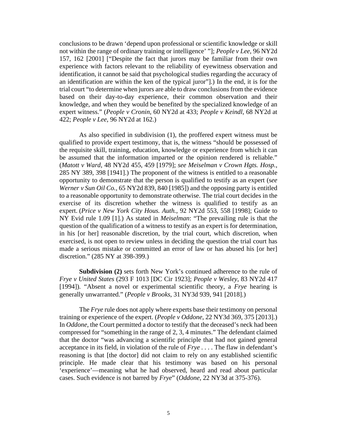conclusions to be drawn 'depend upon professional or scientific knowledge or skill not within the range of ordinary training or intelligence' "]; *People v Lee*, 96 NY2d 157, 162 [2001] ["Despite the fact that jurors may be familiar from their own experience with factors relevant to the reliability of eyewitness observation and identification, it cannot be said that psychological studies regarding the accuracy of an identification are within the ken of the typical juror"].) In the end, it is for the trial court "to determine when jurors are able to draw conclusions from the evidence based on their day-to-day experience, their common observation and their knowledge, and when they would be benefited by the specialized knowledge of an expert witness." (*People v Cronin*, 60 NY2d at 433; *People v Keindl*, 68 NY2d at 422; *People v Lee*, 96 NY2d at 162.)

As also specified in subdivision (1), the proffered expert witness must be qualified to provide expert testimony, that is, the witness "should be possessed of the requisite skill, training, education, knowledge or experience from which it can be assumed that the information imparted or the opinion rendered is reliable." (*Matott v Ward*, 48 NY2d 455, 459 [1979]; *see Meiselman v Crown Hgts. Hosp.*, 285 NY 389, 398 [1941].) The proponent of the witness is entitled to a reasonable opportunity to demonstrate that the person is qualified to testify as an expert (s*ee Werner v Sun Oil Co.*, 65 NY2d 839, 840 [1985]) and the opposing party is entitled to a reasonable opportunity to demonstrate otherwise. The trial court decides in the exercise of its discretion whether the witness is qualified to testify as an expert. (*Price v New York City Hous. Auth.*, 92 NY2d 553, 558 [1998]; Guide to NY Evid rule 1.09 [1].) As stated in *Meiselman*: "The prevailing rule is that the question of the qualification of a witness to testify as an expert is for determination, in his [or her] reasonable discretion, by the trial court, which discretion, when exercised, is not open to review unless in deciding the question the trial court has made a serious mistake or committed an error of law or has abused his [or her] discretion." (285 NY at 398-399.)

**Subdivision (2)** sets forth New York's continued adherence to the rule of *Frye v United States* (293 F 1013 [DC Cir 1923]; *People v Wesley*, 83 NY2d 417 [1994]). "Absent a novel or experimental scientific theory, a *Frye* hearing is generally unwarranted." (*People v Brooks*, 31 NY3d 939, 941 [2018].)

The *Frye* rule does not apply where experts base their testimony on personal training or experience of the expert. (*People v Oddone*, 22 NY3d 369, 375 [2013].) In *Oddone*, the Court permitted a doctor to testify that the deceased's neck had been compressed for "something in the range of 2, 3, 4 minutes." The defendant claimed that the doctor "was advancing a scientific principle that had not gained general acceptance in its field, in violation of the rule of *Frye . . . .* The flaw in defendant's reasoning is that [the doctor] did not claim to rely on any established scientific principle. He made clear that his testimony was based on his personal 'experience'—meaning what he had observed, heard and read about particular cases. Such evidence is not barred by *Frye*" (*Oddone*, 22 NY3d at 375-376).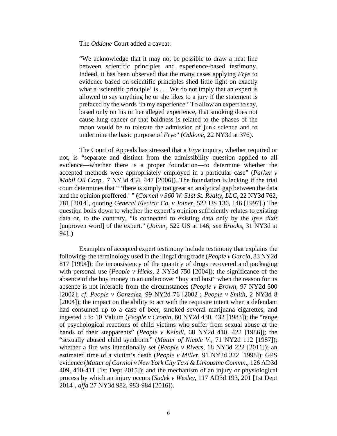The *Oddone* Court added a caveat:

"We acknowledge that it may not be possible to draw a neat line between scientific principles and experience-based testimony. Indeed, it has been observed that the many cases applying *Frye* to evidence based on scientific principles shed little light on exactly what a 'scientific principle' is  $\dots$  We do not imply that an expert is allowed to say anything he or she likes to a jury if the statement is prefaced by the words 'in my experience.' To allow an expert to say, based only on his or her alleged experience, that smoking does not cause lung cancer or that baldness is related to the phases of the moon would be to tolerate the admission of junk science and to undermine the basic purpose of *Frye*" (*Oddone*, 22 NY3d at 376).

The Court of Appeals has stressed that a *Frye* inquiry, whether required or not, is "separate and distinct from the admissibility question applied to all evidence—whether there is a proper foundation—to determine whether the accepted methods were appropriately employed in a particular case" (*Parker v Mobil Oil Corp.*, 7 NY3d 434, 447 [2006]). The foundation is lacking if the trial court determines that " 'there is simply too great an analytical gap between the data and the opinion proffered.' " (*Cornell v 360 W. 51st St. Realty, LLC*, 22 NY3d 762, 781 [2014], quoting *General Electric Co. v Joiner*, 522 US 136, 146 [1997].) The question boils down to whether the expert's opinion sufficiently relates to existing data or, to the contrary, "is connected to existing data only by the *ipse dixit* [unproven word] of the expert." (*Joiner*, 522 US at 146; *see Brooks*, 31 NY3d at 941.)

Examples of accepted expert testimony include testimony that explains the following: the terminology used in the illegal drug trade (*People v Garcia*, 83 NY2d 817 [1994]); the inconsistency of the quantity of drugs recovered and packaging with personal use (*People v Hicks*, 2 NY3d 750 [2004]); the significance of the absence of the buy money in an undercover "buy and bust" when the reason for its absence is not inferable from the circumstances (*People v Brown*, 97 NY2d 500 [2002]; *cf. People v Gonzalez*, 99 NY2d 76 [2002]; *People v Smith*, 2 NY3d 8 [2004]); the impact on the ability to act with the requisite intent when a defendant had consumed up to a case of beer, smoked several marijuana cigarettes, and ingested 5 to 10 Valium (*People v Cronin*, 60 NY2d 430, 432 [1983]); the "range of psychological reactions of child victims who suffer from sexual abuse at the hands of their stepparents" (*People v Keindl*, 68 NY2d 410, 422 [1986]); the "sexually abused child syndrome" (*Matter of Nicole V.*, 71 NY2d 112 [1987]); whether a fire was intentionally set (*People v Rivers*, 18 NY3d 222 [2011]); an estimated time of a victim's death (*People v Miller*, 91 NY2d 372 [1998]); GPS evidence (*Matter of Carniol v New York City Taxi & Limousine Commn*., 126 AD3d 409, 410-411 [1st Dept 2015]); and the mechanism of an injury or physiological process by which an injury occurs (*Sadek v Wesley*, 117 AD3d 193, 201 [1st Dept 2014], *affd* 27 NY3d 982, 983-984 [2016]).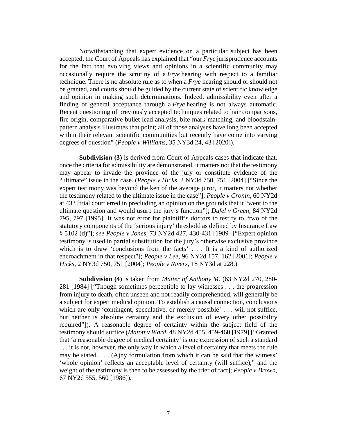Notwithstanding that expert evidence on a particular subject has been accepted, the Court of Appeals has explained that "our *Frye* jurisprudence accounts for the fact that evolving views and opinions in a scientific community may occasionally require the scrutiny of a *Frye* hearing with respect to a familiar technique. There is no absolute rule as to when a *Frye* hearing should or should not be granted, and courts should be guided by the current state of scientific knowledge and opinion in making such determinations. Indeed, admissibility even after a finding of general acceptance through a *Frye* hearing is not always automatic. Recent questioning of previously accepted techniques related to hair comparisons, fire origin, comparative bullet lead analysis, bite mark matching, and bloodstainpattern analysis illustrates that point; all of those analyses have long been accepted within their relevant scientific communities but recently have come into varying degrees of question" (*People v Williams*, 35 NY3d 24, 43 [2020]).

**Subdivision (3)** is derived from Court of Appeals cases that indicate that, once the criteria for admissibility are demonstrated, it matters not that the testimony may appear to invade the province of the jury or constitute evidence of the "ultimate" issue in the case. (*People v Hicks*, 2 NY3d 750, 751 [2004] ["Since the expert testimony was beyond the ken of the average juror, it matters not whether the testimony related to the ultimate issue in the case"]; *People v Cronin*, 60 NY2d at 433 [trial court erred in precluding an opinion on the grounds that it "went to the ultimate question and would usurp the jury's function"]; *Dufel v Green*, 84 NY2d 795, 797 [1995] [It was not error for plaintiff's doctors to testify to "two of the statutory components of the 'serious injury' threshold as defined by Insurance Law § 5102 (d)"]; *see People v Jones*, 73 NY2d 427, 430-431 [1989] ["Expert opinion testimony is used in partial substitution for the jury's otherwise exclusive province which is to draw 'conclusions from the facts' . . . It is a kind of authorized encroachment in that respect"]; *People v Lee*, 96 NY2d 157, 162 [2001]; *People v Hicks*, 2 NY3d 750, 751 [2004]; *People v Rivers*, 18 NY3d at 228.)

**Subdivision (4)** is taken from *Matter of Anthony M.* (63 NY2d 270, 280- 281 [1984] ["Though sometimes perceptible to lay witnesses . . . the progression from injury to death, often unseen and not readily comprehended, will generally be a subject for expert medical opinion. To establish a causal connection, conclusions which are only 'contingent, speculative, or merely possible' . . . will not suffice, but neither is absolute certainty and the exclusion of every other possibility required"]). A reasonable degree of certainty within the subject field of the testimony should suffice (*Matott v Ward*, 48 NY2d 455, 459-460 [1979] ["Granted that 'a reasonable degree of medical certainty' is one expression of such a standard . . . it is not, however, the only way in which a level of certainty that meets the rule may be stated. . . . (A)ny formulation from which it can be said that the witness' 'whole opinion' reflects an acceptable level of certainty (will suffice)," and the weight of the testimony is then to be assessed by the trier of fact]; *People v Brown*, 67 NY2d 555, 560 [1986]).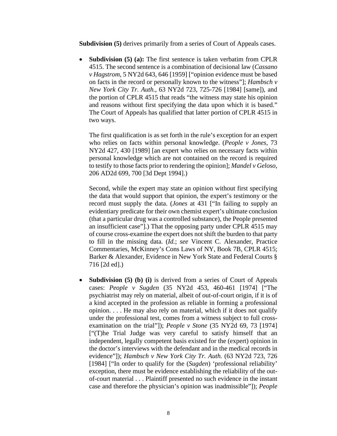**Subdivision (5)** derives primarily from a series of Court of Appeals cases.

• **Subdivision (5) (a):** The first sentence is taken verbatim from CPLR 4515. The second sentence is a combination of decisional law (*Cassano v Hagstrom*, 5 NY2d 643, 646 [1959] ["opinion evidence must be based on facts in the record or personally known to the witness"]; *Hambsch v New York City Tr. Auth.*, 63 NY2d 723, 725-726 [1984] [same]), and the portion of CPLR 4515 that reads "the witness may state his opinion and reasons without first specifying the data upon which it is based." The Court of Appeals has qualified that latter portion of CPLR 4515 in two ways.

The first qualification is as set forth in the rule's exception for an expert who relies on facts within personal knowledge. (*People v Jones*, 73 NY2d 427, 430 [1989] [an expert who relies on necessary facts within personal knowledge which are not contained on the record is required to testify to those facts prior to rendering the opinion]; *Mandel v Geloso*, 206 AD2d 699, 700 [3d Dept 1994].)

Second, while the expert may state an opinion without first specifying the data that would support that opinion, the expert's testimony or the record must supply the data. (*Jones* at 431 ["In failing to supply an evidentiary predicate for their own chemist expert's ultimate conclusion (that a particular drug was a controlled substance), the People presented an insufficient case"].) That the opposing party under CPLR 4515 may of course cross-examine the expert does not shift the burden to that party to fill in the missing data. (*Id.*; *see* Vincent C. Alexander, Practice Commentaries, McKinney's Cons Laws of NY, Book 7B, CPLR 4515; Barker & Alexander, Evidence in New York State and Federal Courts § 716 [2d ed].)

• **Subdivision (5) (b) (i)** is derived from a series of Court of Appeals cases: *People v Sugden* (35 NY2d 453, 460-461 [1974] ["The psychiatrist may rely on material, albeit of out-of-court origin, if it is of a kind accepted in the profession as reliable in forming a professional opinion. . . . He may also rely on material, which if it does not qualify under the professional test, comes from a witness subject to full crossexamination on the trial"]); *People v Stone* (35 NY2d 69, 73 [1974] ["(T)he Trial Judge was very careful to satisfy himself that an independent, legally competent basis existed for the (expert) opinion in the doctor's interviews with the defendant and in the medical records in evidence"]); *Hambsch v New York City Tr. Auth.* (63 NY2d 723, 726 [1984] ["In order to qualify for the *(Sugden)* 'professional reliability' exception, there must be evidence establishing the reliability of the outof-court material . . . Plaintiff presented no such evidence in the instant case and therefore the physician's opinion was inadmissible"]); *People*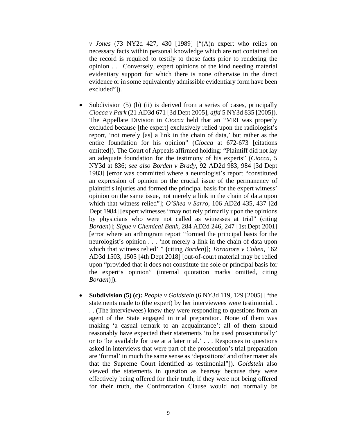*v Jones* (73 NY2d 427, 430 [1989] ["(A)n expert who relies on necessary facts within personal knowledge which are not contained on the record is required to testify to those facts prior to rendering the opinion . . . Conversely, expert opinions of the kind needing material evidentiary support for which there is none otherwise in the direct evidence or in some equivalently admissible evidentiary form have been excluded"]).

- Subdivision  $(5)$  (b) (ii) is derived from a series of cases, principally *Ciocca v Park* (21 AD3d 671 [3d Dept 2005], *affd* 5 NY3d 835 [2005]). The Appellate Division in *Ciocca* held that an "MRI was properly excluded because [the expert] exclusively relied upon the radiologist's report, 'not merely [as] a link in the chain of data,' but rather as the entire foundation for his opinion" (*Ciocca* at 672-673 [citations omitted]). The Court of Appeals affirmed holding: "Plaintiff did not lay an adequate foundation for the testimony of his experts" (*Ciocca*, 5 NY3d at 836; *see also Borden v Brady*, 92 AD2d 983, 984 [3d Dept 1983] [error was committed where a neurologist's report "constituted an expression of opinion on the crucial issue of the permanency of plaintiff's injuries and formed the principal basis for the expert witness' opinion on the same issue, not merely a link in the chain of data upon which that witness relied"]; *O'Shea v Sarro*, 106 AD2d 435, 437 [2d Dept 1984] [expert witnesses "may not rely primarily upon the opinions by physicians who were not called as witnesses at trial" (citing *Borden*)]; *Sigue v Chemical Bank*, 284 AD2d 246, 247 [1st Dept 2001] [error where an arthrogram report "formed the principal basis for the neurologist's opinion . . . 'not merely a link in the chain of data upon which that witness relied' " **(**citing *Borden*)]; *Tornatore v Cohen*, 162 AD3d 1503, 1505 [4th Dept 2018] [out-of-court material may be relied upon "provided that it does not constitute the sole or principal basis for the expert's opinion" (internal quotation marks omitted, citing *Borden*)]).
- **Subdivision (5) (c):** *People v Goldstein* (6 NY3d 119, 129 [2005] ["the statements made to (the expert) by her interviewees were testimonial. . . . (The interviewees) knew they were responding to questions from an agent of the State engaged in trial preparation. None of them was making 'a casual remark to an acquaintance'; all of them should reasonably have expected their statements 'to be used prosecutorially' or to 'be available for use at a later trial.' . . . Responses to questions asked in interviews that were part of the prosecution's trial preparation are 'formal' in much the same sense as 'depositions' and other materials that the Supreme Court identified as testimonial"]). *Goldstein* also viewed the statements in question as hearsay because they were effectively being offered for their truth; if they were not being offered for their truth, the Confrontation Clause would not normally be